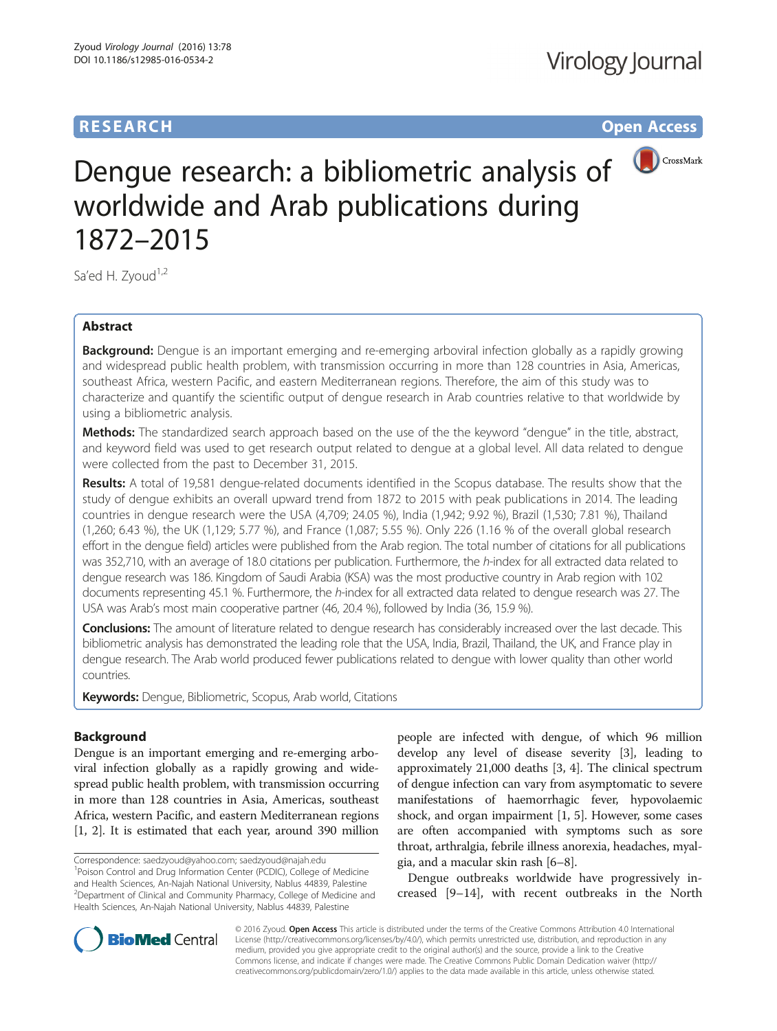# **RESEARCH CH Open Access**



Dengue research: a bibliometric analysis of worldwide and Arab publications during 1872–2015

Sa'ed H. Zyoud<sup>1,2</sup>

# Abstract

**Background:** Dengue is an important emerging and re-emerging arboviral infection globally as a rapidly growing and widespread public health problem, with transmission occurring in more than 128 countries in Asia, Americas, southeast Africa, western Pacific, and eastern Mediterranean regions. Therefore, the aim of this study was to characterize and quantify the scientific output of dengue research in Arab countries relative to that worldwide by using a bibliometric analysis.

Methods: The standardized search approach based on the use of the the keyword "dengue" in the title, abstract, and keyword field was used to get research output related to dengue at a global level. All data related to dengue were collected from the past to December 31, 2015.

Results: A total of 19,581 dengue-related documents identified in the Scopus database. The results show that the study of dengue exhibits an overall upward trend from 1872 to 2015 with peak publications in 2014. The leading countries in dengue research were the USA (4,709; 24.05 %), India (1,942; 9.92 %), Brazil (1,530; 7.81 %), Thailand (1,260; 6.43 %), the UK (1,129; 5.77 %), and France (1,087; 5.55 %). Only 226 (1.16 % of the overall global research effort in the dengue field) articles were published from the Arab region. The total number of citations for all publications was 352,710, with an average of 18.0 citations per publication. Furthermore, the h-index for all extracted data related to dengue research was 186. Kingdom of Saudi Arabia (KSA) was the most productive country in Arab region with 102 documents representing 45.1 %. Furthermore, the h-index for all extracted data related to dengue research was 27. The USA was Arab's most main cooperative partner (46, 20.4 %), followed by India (36, 15.9 %).

**Conclusions:** The amount of literature related to dengue research has considerably increased over the last decade. This bibliometric analysis has demonstrated the leading role that the USA, India, Brazil, Thailand, the UK, and France play in dengue research. The Arab world produced fewer publications related to dengue with lower quality than other world countries.

Keywords: Dengue, Bibliometric, Scopus, Arab world, Citations

# Background

Dengue is an important emerging and re-emerging arboviral infection globally as a rapidly growing and widespread public health problem, with transmission occurring in more than 128 countries in Asia, Americas, southeast Africa, western Pacific, and eastern Mediterranean regions [[1, 2](#page-7-0)]. It is estimated that each year, around 390 million

people are infected with dengue, of which 96 million develop any level of disease severity [\[3\]](#page-7-0), leading to approximately 21,000 deaths [[3](#page-7-0), [4\]](#page-7-0). The clinical spectrum of dengue infection can vary from asymptomatic to severe manifestations of haemorrhagic fever, hypovolaemic shock, and organ impairment [\[1](#page-7-0), [5](#page-7-0)]. However, some cases are often accompanied with symptoms such as sore throat, arthralgia, febrile illness anorexia, headaches, myalgia, and a macular skin rash [\[6](#page-7-0)–[8](#page-7-0)].

Dengue outbreaks worldwide have progressively increased [[9](#page-7-0)–[14](#page-7-0)], with recent outbreaks in the North



© 2016 Zyoud. Open Access This article is distributed under the terms of the Creative Commons Attribution 4.0 International License ([http://creativecommons.org/licenses/by/4.0/\)](http://creativecommons.org/licenses/by/4.0/), which permits unrestricted use, distribution, and reproduction in any medium, provided you give appropriate credit to the original author(s) and the source, provide a link to the Creative Commons license, and indicate if changes were made. The Creative Commons Public Domain Dedication waiver ([http://](http://creativecommons.org/publicdomain/zero/1.0/) [creativecommons.org/publicdomain/zero/1.0/\)](http://creativecommons.org/publicdomain/zero/1.0/) applies to the data made available in this article, unless otherwise stated.

Correspondence: [saedzyoud@yahoo.com](mailto:saedzyoud@yahoo.com); [saedzyoud@najah.edu](mailto:saedzyoud@najah.edu) <sup>1</sup> <sup>1</sup> Poison Control and Drug Information Center (PCDIC), College of Medicine and Health Sciences, An-Najah National University, Nablus 44839, Palestine <sup>2</sup> Department of Clinical and Community Pharmacy, College of Medicine and Health Sciences, An-Najah National University, Nablus 44839, Palestine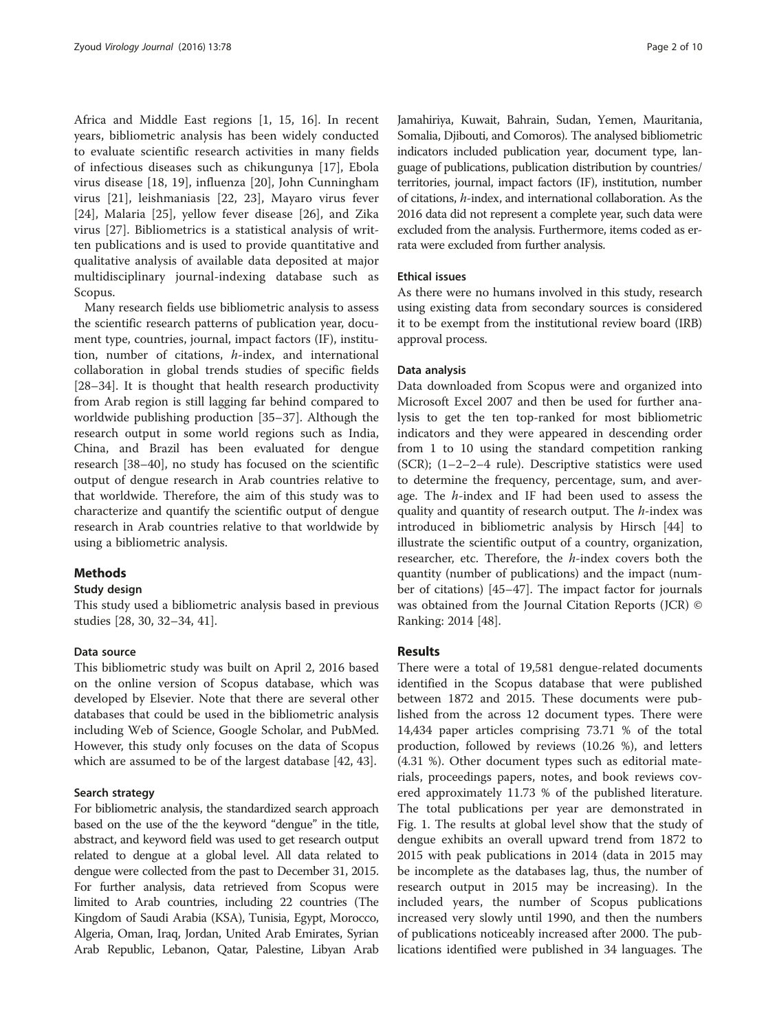Africa and Middle East regions [\[1](#page-7-0), [15](#page-7-0), [16\]](#page-7-0). In recent years, bibliometric analysis has been widely conducted to evaluate scientific research activities in many fields of infectious diseases such as chikungunya [[17\]](#page-7-0), Ebola virus disease [[18](#page-7-0), [19\]](#page-7-0), influenza [[20\]](#page-7-0), John Cunningham virus [\[21](#page-7-0)], leishmaniasis [[22, 23](#page-7-0)], Mayaro virus fever [[24\]](#page-7-0), Malaria [[25](#page-7-0)], yellow fever disease [\[26](#page-7-0)], and Zika virus [[27\]](#page-7-0). Bibliometrics is a statistical analysis of written publications and is used to provide quantitative and qualitative analysis of available data deposited at major multidisciplinary journal-indexing database such as Scopus.

Many research fields use bibliometric analysis to assess the scientific research patterns of publication year, document type, countries, journal, impact factors (IF), institution, number of citations, h-index, and international collaboration in global trends studies of specific fields [[28](#page-7-0)–[34](#page-8-0)]. It is thought that health research productivity from Arab region is still lagging far behind compared to worldwide publishing production [\[35](#page-8-0)–[37\]](#page-8-0). Although the research output in some world regions such as India, China, and Brazil has been evaluated for dengue research [[38](#page-8-0)–[40](#page-8-0)], no study has focused on the scientific output of dengue research in Arab countries relative to that worldwide. Therefore, the aim of this study was to characterize and quantify the scientific output of dengue research in Arab countries relative to that worldwide by using a bibliometric analysis.

# Methods

# Study design

This study used a bibliometric analysis based in previous studies [\[28,](#page-7-0) [30, 32](#page-8-0)–[34](#page-8-0), [41](#page-8-0)].

## Data source

This bibliometric study was built on April 2, 2016 based on the online version of Scopus database, which was developed by Elsevier. Note that there are several other databases that could be used in the bibliometric analysis including Web of Science, Google Scholar, and PubMed. However, this study only focuses on the data of Scopus which are assumed to be of the largest database [[42, 43](#page-8-0)].

## Search strategy

For bibliometric analysis, the standardized search approach based on the use of the the keyword "dengue" in the title, abstract, and keyword field was used to get research output related to dengue at a global level. All data related to dengue were collected from the past to December 31, 2015. For further analysis, data retrieved from Scopus were limited to Arab countries, including 22 countries (The Kingdom of Saudi Arabia (KSA), Tunisia, Egypt, Morocco, Algeria, Oman, Iraq, Jordan, United Arab Emirates, Syrian Arab Republic, Lebanon, Qatar, Palestine, Libyan Arab Jamahiriya, Kuwait, Bahrain, Sudan, Yemen, Mauritania, Somalia, Djibouti, and Comoros). The analysed bibliometric indicators included publication year, document type, language of publications, publication distribution by countries/ territories, journal, impact factors (IF), institution, number of citations, h-index, and international collaboration. As the 2016 data did not represent a complete year, such data were excluded from the analysis. Furthermore, items coded as errata were excluded from further analysis.

## Ethical issues

As there were no humans involved in this study, research using existing data from secondary sources is considered it to be exempt from the institutional review board (IRB) approval process.

#### Data analysis

Data downloaded from Scopus were and organized into Microsoft Excel 2007 and then be used for further analysis to get the ten top-ranked for most bibliometric indicators and they were appeared in descending order from 1 to 10 using the standard competition ranking (SCR); (1–2–2–4 rule). Descriptive statistics were used to determine the frequency, percentage, sum, and average. The h-index and IF had been used to assess the quality and quantity of research output. The h-index was introduced in bibliometric analysis by Hirsch [[44\]](#page-8-0) to illustrate the scientific output of a country, organization, researcher, etc. Therefore, the h-index covers both the quantity (number of publications) and the impact (number of citations) [[45](#page-8-0)–[47](#page-8-0)]. The impact factor for journals was obtained from the Journal Citation Reports (JCR) © Ranking: 2014 [\[48\]](#page-8-0).

## Results

There were a total of 19,581 dengue-related documents identified in the Scopus database that were published between 1872 and 2015. These documents were published from the across 12 document types. There were 14,434 paper articles comprising 73.71 % of the total production, followed by reviews (10.26 %), and letters (4.31 %). Other document types such as editorial materials, proceedings papers, notes, and book reviews covered approximately 11.73 % of the published literature. The total publications per year are demonstrated in Fig. [1.](#page-2-0) The results at global level show that the study of dengue exhibits an overall upward trend from 1872 to 2015 with peak publications in 2014 (data in 2015 may be incomplete as the databases lag, thus, the number of research output in 2015 may be increasing). In the included years, the number of Scopus publications increased very slowly until 1990, and then the numbers of publications noticeably increased after 2000. The publications identified were published in 34 languages. The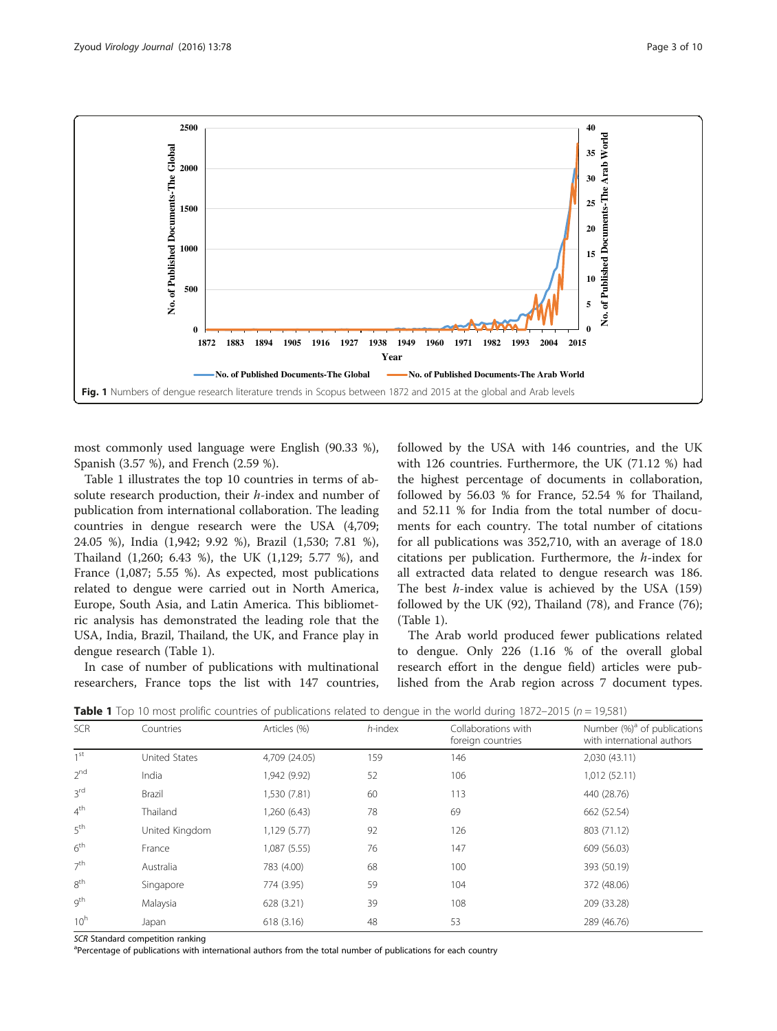<span id="page-2-0"></span>

most commonly used language were English (90.33 %), Spanish (3.57 %), and French (2.59 %).

Table 1 illustrates the top 10 countries in terms of absolute research production, their *h*-index and number of publication from international collaboration. The leading countries in dengue research were the USA (4,709; 24.05 %), India (1,942; 9.92 %), Brazil (1,530; 7.81 %), Thailand (1,260; 6.43 %), the UK (1,129; 5.77 %), and France (1,087; 5.55 %). As expected, most publications related to dengue were carried out in North America, Europe, South Asia, and Latin America. This bibliometric analysis has demonstrated the leading role that the USA, India, Brazil, Thailand, the UK, and France play in dengue research (Table 1).

In case of number of publications with multinational researchers, France tops the list with 147 countries, followed by the USA with 146 countries, and the UK with 126 countries. Furthermore, the UK (71.12 %) had the highest percentage of documents in collaboration, followed by 56.03 % for France, 52.54 % for Thailand, and 52.11 % for India from the total number of documents for each country. The total number of citations for all publications was 352,710, with an average of 18.0 citations per publication. Furthermore, the h-index for all extracted data related to dengue research was 186. The best  $h$ -index value is achieved by the USA (159) followed by the UK (92), Thailand (78), and France (76); (Table 1).

The Arab world produced fewer publications related to dengue. Only 226 (1.16 % of the overall global research effort in the dengue field) articles were published from the Arab region across 7 document types.

**Table 1** Top 10 most prolific countries of publications related to dengue in the world during 1872–2015 ( $n = 19,581$ )

| <b>SCR</b>      | Countries      | Articles (%)  | h-index | Collaborations with<br>foreign countries | Number (%) <sup>a</sup> of publications<br>with international authors |
|-----------------|----------------|---------------|---------|------------------------------------------|-----------------------------------------------------------------------|
| 1 <sub>st</sub> | United States  | 4,709 (24.05) | 159     | 146                                      | 2,030 (43.11)                                                         |
| $2^{nd}$        | India          | 1,942 (9.92)  | 52      | 106                                      | 1,012 (52.11)                                                         |
| 3 <sup>rd</sup> | Brazil         | 1,530 (7.81)  | 60      | 113                                      | 440 (28.76)                                                           |
| 4 <sup>th</sup> | Thailand       | 1,260 (6.43)  | 78      | 69                                       | 662 (52.54)                                                           |
| 5 <sup>th</sup> | United Kingdom | 1,129 (5.77)  | 92      | 126                                      | 803 (71.12)                                                           |
| 6 <sup>th</sup> | France         | 1,087 (5.55)  | 76      | 147                                      | 609 (56.03)                                                           |
| 7 <sup>th</sup> | Australia      | 783 (4.00)    | 68      | 100                                      | 393 (50.19)                                                           |
| 8 <sup>th</sup> | Singapore      | 774 (3.95)    | 59      | 104                                      | 372 (48.06)                                                           |
| gth             | Malaysia       | 628 (3.21)    | 39      | 108                                      | 209 (33.28)                                                           |
| 10 <sup>h</sup> | Japan          | 618 (3.16)    | 48      | 53                                       | 289 (46.76)                                                           |

SCR Standard competition ranking

<sup>a</sup>Percentage of publications with international authors from the total number of publications for each country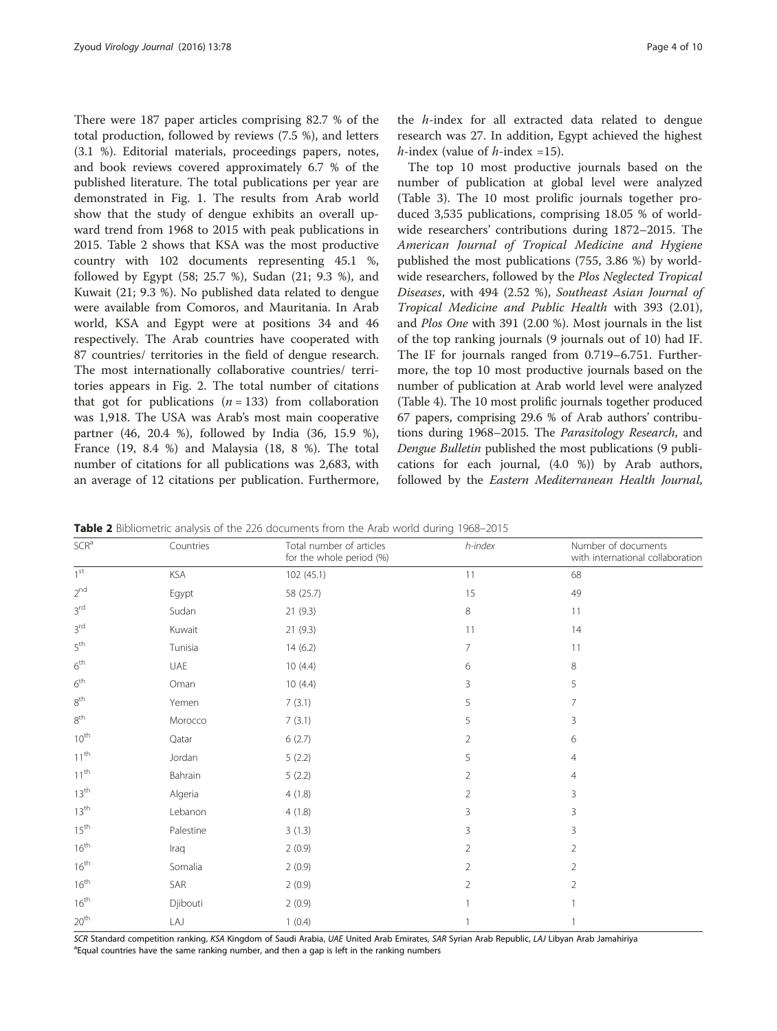There were 187 paper articles comprising 82.7 % of the total production, followed by reviews (7.5 %), and letters (3.1 %). Editorial materials, proceedings papers, notes, and book reviews covered approximately 6.7 % of the published literature. The total publications per year are demonstrated in Fig. [1.](#page-2-0) The results from Arab world show that the study of dengue exhibits an overall upward trend from 1968 to 2015 with peak publications in 2015. Table 2 shows that KSA was the most productive country with 102 documents representing 45.1 %, followed by Egypt (58; 25.7 %), Sudan (21; 9.3 %), and Kuwait (21; 9.3 %). No published data related to dengue were available from Comoros, and Mauritania. In Arab world, KSA and Egypt were at positions 34 and 46 respectively. The Arab countries have cooperated with 87 countries/ territories in the field of dengue research. The most internationally collaborative countries/ territories appears in Fig. [2](#page-4-0). The total number of citations that got for publications  $(n = 133)$  from collaboration was 1,918. The USA was Arab's most main cooperative partner (46, 20.4 %), followed by India (36, 15.9 %), France (19, 8.4 %) and Malaysia (18, 8 %). The total number of citations for all publications was 2,683, with an average of 12 citations per publication. Furthermore,

the h-index for all extracted data related to dengue research was 27. In addition, Egypt achieved the highest *h*-index (value of *h*-index =15).

The top 10 most productive journals based on the number of publication at global level were analyzed (Table [3\)](#page-4-0). The 10 most prolific journals together produced 3,535 publications, comprising 18.05 % of worldwide researchers' contributions during 1872–2015. The American Journal of Tropical Medicine and Hygiene published the most publications (755, 3.86 %) by worldwide researchers, followed by the Plos Neglected Tropical Diseases, with 494 (2.52 %), Southeast Asian Journal of Tropical Medicine and Public Health with 393 (2.01), and Plos One with 391 (2.00 %). Most journals in the list of the top ranking journals (9 journals out of 10) had IF. The IF for journals ranged from 0.719–6.751. Furthermore, the top 10 most productive journals based on the number of publication at Arab world level were analyzed (Table [4](#page-4-0)). The 10 most prolific journals together produced 67 papers, comprising 29.6 % of Arab authors' contributions during 1968–2015. The Parasitology Research, and Dengue Bulletin published the most publications (9 publications for each journal, (4.0 %)) by Arab authors, followed by the Eastern Mediterranean Health Journal,

Table 2 Bibliometric analysis of the 226 documents from the Arab world during 1968–2015

| SCR <sup>a</sup> | Countries | Total number of articles<br>for the whole period (%) | h-index        | Number of documents<br>with international collaboration |
|------------------|-----------|------------------------------------------------------|----------------|---------------------------------------------------------|
| 1 <sup>st</sup>  | KSA       | 102 (45.1)                                           | 11             | 68                                                      |
| 2 <sup>nd</sup>  | Egypt     | 58 (25.7)                                            | 15             | 49                                                      |
| $3^{\text{rd}}$  | Sudan     | 21(9.3)                                              | 8              | 11                                                      |
| 3 <sup>rd</sup>  | Kuwait    | 21 (9.3)                                             | 11             | 14                                                      |
| $5^{\text{th}}$  | Tunisia   | 14(6.2)                                              | 7              | 11                                                      |
| $6^{\text{th}}$  | UAE       | 10(4.4)                                              | 6              | 8                                                       |
| $6^{\text{th}}$  | Oman      | 10(4.4)                                              | 3              | 5                                                       |
| $8^{\rm th}$     | Yemen     | 7(3.1)                                               | 5              | 7                                                       |
| $8^{\rm th}$     | Morocco   | 7(3.1)                                               | 5              | 3                                                       |
| $10^{\text{th}}$ | Qatar     | 6(2.7)                                               | 2              | 6                                                       |
| $11^{th}$        | Jordan    | 5(2.2)                                               | 5              | $\overline{4}$                                          |
| $11^{th}$        | Bahrain   | 5(2.2)                                               | $\overline{2}$ | $\overline{4}$                                          |
| 13 <sup>th</sup> | Algeria   | 4(1.8)                                               | $\overline{2}$ | 3                                                       |
| 13 <sup>th</sup> | Lebanon   | 4(1.8)                                               | 3              | 3                                                       |
| $15^{\text{th}}$ | Palestine | 3(1.3)                                               | 3              | 3                                                       |
| $16^{\text{th}}$ | Iraq      | 2(0.9)                                               | 2              | 2                                                       |
| $16^{\text{th}}$ | Somalia   | 2(0.9)                                               | $\overline{2}$ | 2                                                       |
| $16^{th}$        | SAR       | 2(0.9)                                               | $\overline{2}$ | 2                                                       |
| $16^{th}$        | Djibouti  | 2(0.9)                                               |                |                                                         |
| 20 <sup>th</sup> | LAJ       | 1(0.4)                                               |                |                                                         |

SCR Standard competition ranking, KSA Kingdom of Saudi Arabia, UAE United Arab Emirates, SAR Syrian Arab Republic, LAJ Libyan Arab Jamahiriya <sup>a</sup> Equal countries have the same ranking number, and then a gap is left in the ranking numbers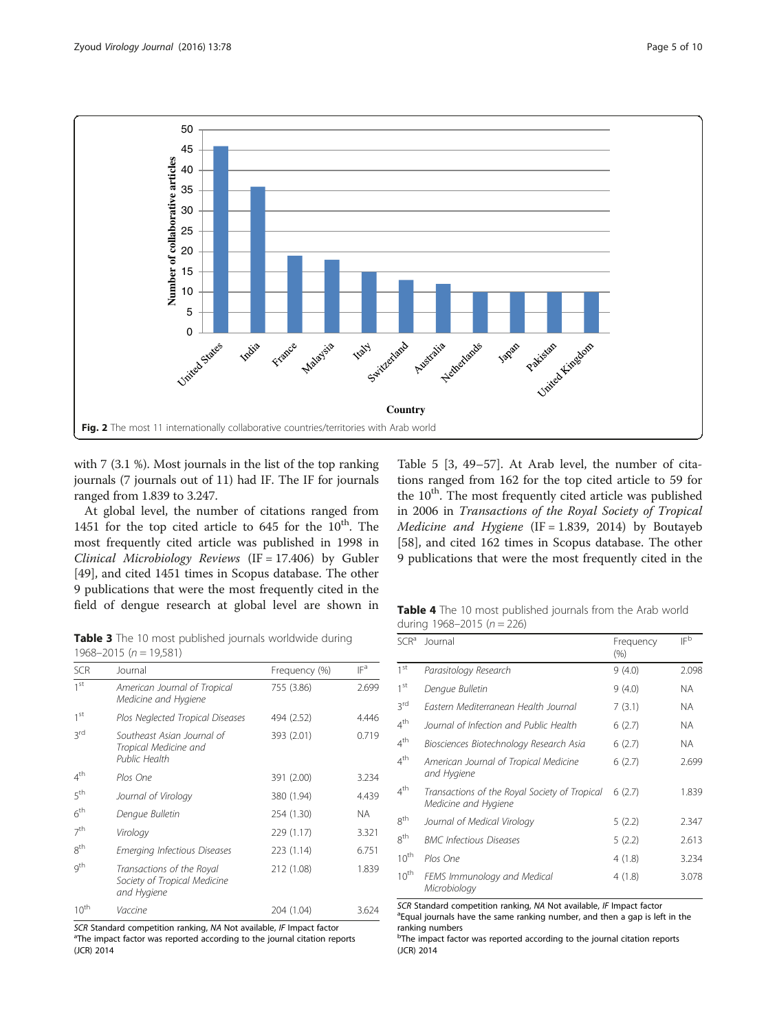<span id="page-4-0"></span>

with 7 (3.1 %). Most journals in the list of the top ranking journals (7 journals out of 11) had IF. The IF for journals ranged from 1.839 to 3.247.

At global level, the number of citations ranged from 1451 for the top cited article to 645 for the  $10^{th}$ . The most frequently cited article was published in 1998 in Clinical Microbiology Reviews (IF = 17.406) by Gubler [[49\]](#page-8-0), and cited 1451 times in Scopus database. The other 9 publications that were the most frequently cited in the field of dengue research at global level are shown in

Table [5](#page-5-0) [[3,](#page-7-0) [49](#page-8-0)–[57\]](#page-8-0). At Arab level, the number of citations ranged from 162 for the top cited article to 59 for the  $10<sup>th</sup>$ . The most frequently cited article was published in 2006 in Transactions of the Royal Society of Tropical Medicine and Hygiene (IF = 1.839, 2014) by Boutayeb [[58\]](#page-8-0), and cited 162 times in Scopus database. The other 9 publications that were the most frequently cited in the

Table 3 The 10 most published journals worldwide during 1968–2015 ( $n = 19,581$ )

| <b>SCR</b>      | Journal                                                                  | Frequency (%) | IF <sup>a</sup> |
|-----------------|--------------------------------------------------------------------------|---------------|-----------------|
| 1 <sup>st</sup> | American Journal of Tropical<br>Medicine and Hygiene                     | 755 (3.86)    | 2.699           |
| 1 <sup>st</sup> | Plos Neglected Tropical Diseases                                         | 494 (2.52)    | 4.446           |
| 3 <sub>rd</sub> | Southeast Asian Journal of<br>Tropical Medicine and<br>Public Health     | 393 (2.01)    | 0.719           |
| $4^{\text{th}}$ | Plos One                                                                 | 391 (2.00)    | 3.234           |
| 5 <sup>th</sup> | Journal of Virology                                                      | 380 (1.94)    | 4.439           |
| 6 <sup>th</sup> | Dengue Bulletin                                                          | 254 (1.30)    | NA.             |
| 7 <sup>th</sup> | Virology                                                                 | 229 (1.17)    | 3.321           |
| 8 <sup>th</sup> | Emerging Infectious Diseases                                             | 223 (1.14)    | 6.751           |
| g <sup>th</sup> | Transactions of the Royal<br>Society of Tropical Medicine<br>and Hygiene | 212 (1.08)    | 1.839           |
| $10^{th}$       | Vaccine                                                                  | 204 (1.04)    | 3.624           |

SCR Standard competition ranking, NA Not available, IF Impact factor <sup>a</sup>The impact factor was reported according to the journal citation reports (JCR) 2014

| <b>Table 4</b> The 10 most published journals from the Arab world |  |  |
|-------------------------------------------------------------------|--|--|
| during 1968-2015 ( $n = 226$ )                                    |  |  |

| $SCR^a$          | Journal                                                               | Frequency<br>(% ) | IFb   |
|------------------|-----------------------------------------------------------------------|-------------------|-------|
| 1 <sup>st</sup>  | Parasitology Research                                                 | 9(4.0)            | 2.098 |
| 1 <sup>st</sup>  | Dengue Bulletin                                                       | 9(4.0)            | NA.   |
| 3rd              | Fastern Mediterranean Health Journal                                  | 7(3.1)            | NA.   |
| $4^{\text{th}}$  | Journal of Infection and Public Health                                | 6(2.7)            | NA.   |
| $4^{\text{th}}$  | Biosciences Biotechnology Research Asia                               | 6(2.7)            | NA.   |
| $4^{\text{th}}$  | American Journal of Tropical Medicine<br>and Hygiene                  | 6(2.7)            | 2.699 |
| $4^{\text{th}}$  | Transactions of the Royal Society of Tropical<br>Medicine and Hygiene | 6(2.7)            | 1.839 |
| 8 <sup>th</sup>  | Journal of Medical Virology                                           | 5(2.2)            | 2.347 |
| 8 <sup>th</sup>  | <b>BMC Infectious Diseases</b>                                        | 5(2.2)            | 2.613 |
| $10^{\text{th}}$ | Plos One                                                              | 4 (1.8)           | 3.234 |
| $10^{\text{th}}$ | FEMS Immunology and Medical<br>Microbiology                           | 4 (1.8)           | 3.078 |

SCR Standard competition ranking, NA Not available, IF Impact factor <sup>a</sup>Equal journals have the same ranking number, and then a gap is left in the ranking numbers

<sup>b</sup>The impact factor was reported according to the journal citation reports (JCR) 2014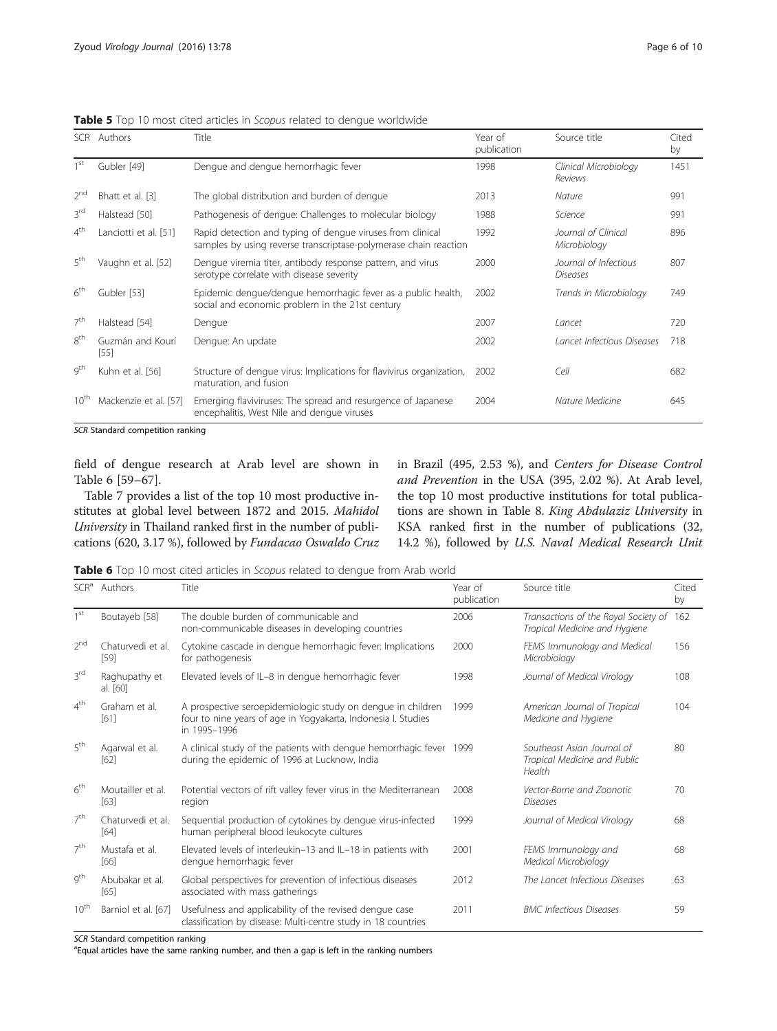|                 | SCR Authors              | <b>Title</b>                                                                                                                   | Year of<br>publication | Source title                             | Cited<br>by |
|-----------------|--------------------------|--------------------------------------------------------------------------------------------------------------------------------|------------------------|------------------------------------------|-------------|
| 1 <sub>st</sub> | Gubler [49]              | Dengue and dengue hemorrhagic fever                                                                                            | 1998                   | Clinical Microbiology<br>Reviews         | 1451        |
| 2 <sup>nd</sup> | Bhatt et al. [3]         | The global distribution and burden of dengue                                                                                   | 2013                   | Nature                                   | 991         |
| 3 <sup>rd</sup> | Halstead [50]            | Pathogenesis of dengue: Challenges to molecular biology                                                                        | 1988                   | Science                                  | 991         |
| 4 <sup>th</sup> | Lanciotti et al. [51]    | Rapid detection and typing of dengue viruses from clinical<br>samples by using reverse transcriptase-polymerase chain reaction | 1992                   | Journal of Clinical<br>Microbiology      | 896         |
| 5 <sup>th</sup> | Vaughn et al. [52]       | Dengue viremia titer, antibody response pattern, and virus<br>serotype correlate with disease severity                         | 2000                   | Journal of Infectious<br><b>Diseases</b> | 807         |
| 6 <sup>th</sup> | Gubler [53]              | Epidemic dengue/dengue hemorrhagic fever as a public health,<br>social and economic problem in the 21st century                | 2002                   | Trends in Microbiology                   | 749         |
| 7 <sup>th</sup> | Halstead [54]            | Dengue                                                                                                                         | 2007                   | Lancet                                   | 720         |
| 8 <sup>th</sup> | Guzmán and Kourí<br>[55] | Dengue: An update                                                                                                              | 2002                   | Lancet Infectious Diseases               | 718         |
| g <sup>th</sup> | Kuhn et al. [56]         | Structure of dengue virus: Implications for flavivirus organization,<br>maturation, and fusion                                 | 2002                   | Cell                                     | 682         |
| $10^{th}$       | Mackenzie et al. [57]    | Emerging flaviviruses: The spread and resurgence of Japanese<br>encephalitis, West Nile and dengue viruses                     | 2004                   | Nature Medicine                          | 645         |

<span id="page-5-0"></span>Table 5 Top 10 most cited articles in Scopus related to dengue worldwide

SCR Standard competition ranking

field of dengue research at Arab level are shown in Table 6 [[59](#page-8-0)–[67](#page-8-0)].

Table [7](#page-6-0) provides a list of the top 10 most productive institutes at global level between 1872 and 2015. Mahidol University in Thailand ranked first in the number of publications (620, 3.17 %), followed by Fundacao Oswaldo Cruz in Brazil (495, 2.53 %), and Centers for Disease Control and Prevention in the USA (395, 2.02 %). At Arab level, the top 10 most productive institutions for total publications are shown in Table [8](#page-6-0). King Abdulaziz University in KSA ranked first in the number of publications (32, 14.2 %), followed by U.S. Naval Medical Research Unit

Table 6 Top 10 most cited articles in Scopus related to dengue from Arab world

| SCR <sup>a</sup> | Authors                   | Title                                                                                                                                        | Year of<br>publication | Source title                                                          | Cited<br>by |
|------------------|---------------------------|----------------------------------------------------------------------------------------------------------------------------------------------|------------------------|-----------------------------------------------------------------------|-------------|
| 1 <sup>st</sup>  | Boutayeb [58]             | The double burden of communicable and<br>non-communicable diseases in developing countries                                                   | 2006                   | Transactions of the Royal Society of<br>Tropical Medicine and Hygiene | 162         |
| 2 <sup>nd</sup>  | Chaturvedi et al.<br>[59] | Cytokine cascade in dengue hemorrhagic fever: Implications<br>for pathogenesis                                                               | 2000                   | FEMS Immunology and Medical<br>Microbiology                           | 156         |
| 3rd              | Raghupathy et<br>al. [60] | Elevated levels of IL-8 in dengue hemorrhagic fever                                                                                          | 1998                   | Journal of Medical Virology                                           | 108         |
| $4^{\text{th}}$  | Graham et al.<br>[61]     | A prospective seroepidemiologic study on dengue in children<br>four to nine years of age in Yogyakarta, Indonesia I. Studies<br>in 1995-1996 | 1999                   | American Journal of Tropical<br>Medicine and Hygiene                  | 104         |
| 5 <sup>th</sup>  | Agarwal et al.<br>[62]    | A clinical study of the patients with dengue hemorrhagic fever 1999<br>during the epidemic of 1996 at Lucknow, India                         |                        | Southeast Asian Journal of<br>Tropical Medicine and Public<br>Health  | 80          |
| 6 <sup>th</sup>  | Moutailler et al.<br>[63] | Potential vectors of rift valley fever virus in the Mediterranean<br>region                                                                  | 2008                   | Vector-Borne and Zoonotic<br><b>Diseases</b>                          | 70          |
| 7 <sup>th</sup>  | Chaturvedi et al.<br>[64] | Sequential production of cytokines by dengue virus-infected<br>human peripheral blood leukocyte cultures                                     | 1999                   | Journal of Medical Virology                                           | 68          |
| 7 <sup>th</sup>  | Mustafa et al.<br>[66]    | Elevated levels of interleukin-13 and IL-18 in patients with<br>dengue hemorrhagic fever                                                     | 2001                   | FEMS Immunology and<br>Medical Microbiology                           | 68          |
| gth              | Abubakar et al.<br>[65]   | Global perspectives for prevention of infectious diseases<br>associated with mass gatherings                                                 | 2012                   | The Lancet Infectious Diseases                                        | 63          |
| $10^{\text{th}}$ | Barniol et al. [67]       | Usefulness and applicability of the revised dengue case<br>classification by disease: Multi-centre study in 18 countries                     | 2011                   | <b>BMC</b> Infectious Diseases                                        | 59          |

SCR Standard competition ranking

<sup>a</sup> Equal articles have the same ranking number, and then a gap is left in the ranking numbers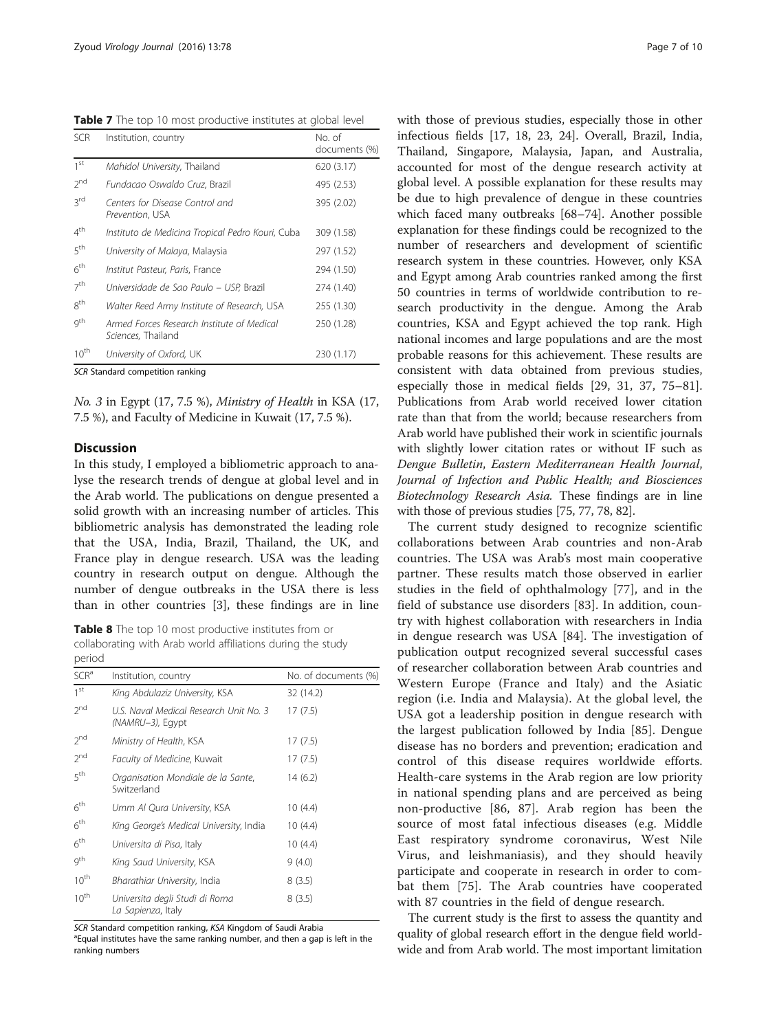<span id="page-6-0"></span>Table 7 The top 10 most productive institutes at global level

| <b>SCR</b>      | Institution, country                                             | No. of<br>documents (%) |
|-----------------|------------------------------------------------------------------|-------------------------|
| 1 <sup>st</sup> | Mahidol University, Thailand                                     | 620 (3.17)              |
| 2 <sub>nd</sub> | Fundacao Oswaldo Cruz, Brazil                                    | 495 (2.53)              |
| 3rd             | Centers for Disease Control and<br>Prevention, USA               | 395 (2.02)              |
| $4^{\text{th}}$ | Instituto de Medicina Tropical Pedro Kouri, Cuba                 | 309 (1.58)              |
| 5 <sup>th</sup> | University of Malaya, Malaysia                                   | 297 (1.52)              |
| 6 <sup>th</sup> | Institut Pasteur, Paris, France                                  | 294 (1.50)              |
| 7 <sup>th</sup> | Universidade de Sao Paulo - USP, Brazil                          | 274 (1.40)              |
| $8^{\text{th}}$ | Walter Reed Army Institute of Research, USA                      | 255 (1.30)              |
| gth             | Armed Forces Research Institute of Medical<br>Sciences, Thailand | 250 (1.28)              |
| $10^{th}$       | University of Oxford, UK                                         | 230 (1.17)              |
|                 | SCR Standard competition ranking                                 |                         |

No. 3 in Egypt (17, 7.5 %), Ministry of Health in KSA (17, 7.5 %), and Faculty of Medicine in Kuwait (17, 7.5 %).

# **Discussion**

In this study, I employed a bibliometric approach to analyse the research trends of dengue at global level and in the Arab world. The publications on dengue presented a solid growth with an increasing number of articles. This bibliometric analysis has demonstrated the leading role that the USA, India, Brazil, Thailand, the UK, and France play in dengue research. USA was the leading country in research output on dengue. Although the number of dengue outbreaks in the USA there is less than in other countries [[3\]](#page-7-0), these findings are in line

Table 8 The top 10 most productive institutes from or collaborating with Arab world affiliations during the study period

| SCR <sup>a</sup> | Institution, country                                       | No. of documents (%) |
|------------------|------------------------------------------------------------|----------------------|
| 1 <sup>st</sup>  | King Abdulaziz University, KSA                             | 32 (14.2)            |
| $2^{nd}$         | U.S. Naval Medical Research Unit No. 3<br>(NAMRU-3), Egypt | 17(7.5)              |
| 2 <sub>nd</sub>  | Ministry of Health, KSA                                    | 17(7.5)              |
| $2^{nd}$         | <i>Faculty of Medicine</i> , Kuwait                        | 17(7.5)              |
| 5 <sup>th</sup>  | Organisation Mondiale de la Sante,<br>Switzerland          | 14 (6.2)             |
| 6 <sup>th</sup>  | Umm Al Qura University, KSA                                | 10(4.4)              |
| $6^{\text{th}}$  | King George's Medical University, India                    | 10(4.4)              |
| 6 <sup>th</sup>  | Universita di Pisa, Italy                                  | 10(4.4)              |
| gth              | King Saud University, KSA                                  | 9(4.0)               |
| $10^{th}$        | Bharathiar University, India                               | 8(3.5)               |
| $10^{th}$        | Universita degli Studi di Roma<br>La Sapienza, Italy       | 8(3.5)               |

SCR Standard competition ranking, KSA Kingdom of Saudi Arabia <sup>a</sup> Equal institutes have the same ranking number, and then a gap is left in the ranking numbers

with those of previous studies, especially those in other infectious fields [\[17](#page-7-0), [18, 23, 24](#page-7-0)]. Overall, Brazil, India, Thailand, Singapore, Malaysia, Japan, and Australia, accounted for most of the dengue research activity at global level. A possible explanation for these results may be due to high prevalence of dengue in these countries which faced many outbreaks [[68](#page-8-0)–[74](#page-8-0)]. Another possible explanation for these findings could be recognized to the number of researchers and development of scientific research system in these countries. However, only KSA and Egypt among Arab countries ranked among the first 50 countries in terms of worldwide contribution to research productivity in the dengue. Among the Arab countries, KSA and Egypt achieved the top rank. High national incomes and large populations and are the most probable reasons for this achievement. These results are consistent with data obtained from previous studies, especially those in medical fields [[29,](#page-7-0) [31](#page-8-0), [37](#page-8-0), [75](#page-8-0)–[81](#page-9-0)]. Publications from Arab world received lower citation rate than that from the world; because researchers from Arab world have published their work in scientific journals with slightly lower citation rates or without IF such as Dengue Bulletin, Eastern Mediterranean Health Journal, Journal of Infection and Public Health; and Biosciences Biotechnology Research Asia. These findings are in line with those of previous studies [\[75, 77](#page-8-0), [78, 82\]](#page-9-0).

The current study designed to recognize scientific collaborations between Arab countries and non-Arab countries. The USA was Arab's most main cooperative partner. These results match those observed in earlier studies in the field of ophthalmology [\[77](#page-8-0)], and in the field of substance use disorders [\[83](#page-9-0)]. In addition, country with highest collaboration with researchers in India in dengue research was USA [\[84](#page-9-0)]. The investigation of publication output recognized several successful cases of researcher collaboration between Arab countries and Western Europe (France and Italy) and the Asiatic region (i.e. India and Malaysia). At the global level, the USA got a leadership position in dengue research with the largest publication followed by India [[85\]](#page-9-0). Dengue disease has no borders and prevention; eradication and control of this disease requires worldwide efforts. Health-care systems in the Arab region are low priority in national spending plans and are perceived as being non-productive [[86, 87](#page-9-0)]. Arab region has been the source of most fatal infectious diseases (e.g. Middle East respiratory syndrome coronavirus, West Nile Virus, and leishmaniasis), and they should heavily participate and cooperate in research in order to combat them [[75\]](#page-8-0). The Arab countries have cooperated with 87 countries in the field of dengue research.

The current study is the first to assess the quantity and quality of global research effort in the dengue field worldwide and from Arab world. The most important limitation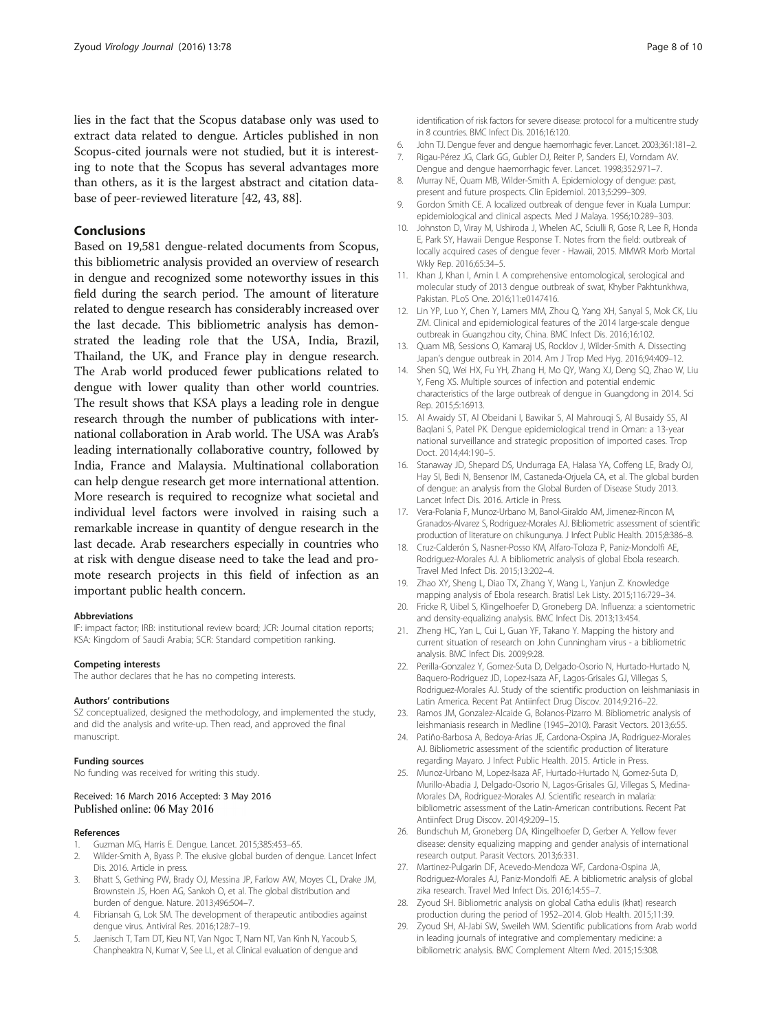<span id="page-7-0"></span>lies in the fact that the Scopus database only was used to extract data related to dengue. Articles published in non Scopus-cited journals were not studied, but it is interesting to note that the Scopus has several advantages more than others, as it is the largest abstract and citation database of peer-reviewed literature [\[42, 43,](#page-8-0) [88](#page-9-0)].

## Conclusions

Based on 19,581 dengue-related documents from Scopus, this bibliometric analysis provided an overview of research in dengue and recognized some noteworthy issues in this field during the search period. The amount of literature related to dengue research has considerably increased over the last decade. This bibliometric analysis has demonstrated the leading role that the USA, India, Brazil, Thailand, the UK, and France play in dengue research. The Arab world produced fewer publications related to dengue with lower quality than other world countries. The result shows that KSA plays a leading role in dengue research through the number of publications with international collaboration in Arab world. The USA was Arab's leading internationally collaborative country, followed by India, France and Malaysia. Multinational collaboration can help dengue research get more international attention. More research is required to recognize what societal and individual level factors were involved in raising such a remarkable increase in quantity of dengue research in the last decade. Arab researchers especially in countries who at risk with dengue disease need to take the lead and promote research projects in this field of infection as an important public health concern.

#### Abbreviations

IF: impact factor; IRB: institutional review board; JCR: Journal citation reports; KSA: Kingdom of Saudi Arabia; SCR: Standard competition ranking.

#### Competing interests

The author declares that he has no competing interests.

#### Authors' contributions

SZ conceptualized, designed the methodology, and implemented the study, and did the analysis and write-up. Then read, and approved the final manuscript.

#### Funding sources

No funding was received for writing this study.

#### Received: 16 March 2016 Accepted: 3 May 2016 Published online: 06 May 2016

#### References

- 1. Guzman MG, Harris E. Dengue. Lancet. 2015;385:453–65.
- 2. Wilder-Smith A, Byass P. The elusive global burden of dengue. Lancet Infect Dis. 2016. Article in press.
- 3. Bhatt S, Gething PW, Brady OJ, Messina JP, Farlow AW, Moyes CL, Drake JM, Brownstein JS, Hoen AG, Sankoh O, et al. The global distribution and burden of dengue. Nature. 2013;496:504–7.
- 4. Fibriansah G, Lok SM. The development of therapeutic antibodies against dengue virus. Antiviral Res. 2016;128:7–19.
- Jaenisch T, Tam DT, Kieu NT, Van Ngoc T, Nam NT, Van Kinh N, Yacoub S, Chanpheaktra N, Kumar V, See LL, et al. Clinical evaluation of dengue and

identification of risk factors for severe disease: protocol for a multicentre study in 8 countries. BMC Infect Dis. 2016;16:120.

- 6. John TJ. Dengue fever and dengue haemorrhagic fever. Lancet. 2003;361:181–2.
- 7. Rigau-Pérez JG, Clark GG, Gubler DJ, Reiter P, Sanders EJ, Vorndam AV. Dengue and dengue haemorrhagic fever. Lancet. 1998;352:971–7.
- 8. Murray NE, Quam MB, Wilder-Smith A. Epidemiology of dengue: past, present and future prospects. Clin Epidemiol. 2013;5:299–309.
- 9. Gordon Smith CE. A localized outbreak of dengue fever in Kuala Lumpur: epidemiological and clinical aspects. Med J Malaya. 1956;10:289–303.
- 10. Johnston D, Viray M, Ushiroda J, Whelen AC, Sciulli R, Gose R, Lee R, Honda E, Park SY, Hawaii Dengue Response T. Notes from the field: outbreak of locally acquired cases of dengue fever - Hawaii, 2015. MMWR Morb Mortal Wkly Rep. 2016;65:34–5.
- 11. Khan J, Khan I, Amin I. A comprehensive entomological, serological and molecular study of 2013 dengue outbreak of swat, Khyber Pakhtunkhwa, Pakistan. PLoS One. 2016;11:e0147416.
- 12. Lin YP, Luo Y, Chen Y, Lamers MM, Zhou Q, Yang XH, Sanyal S, Mok CK, Liu ZM. Clinical and epidemiological features of the 2014 large-scale dengue outbreak in Guangzhou city, China. BMC Infect Dis. 2016;16:102.
- 13. Quam MB, Sessions O, Kamaraj US, Rocklov J, Wilder-Smith A. Dissecting Japan's dengue outbreak in 2014. Am J Trop Med Hyg. 2016;94:409–12.
- 14. Shen SQ, Wei HX, Fu YH, Zhang H, Mo QY, Wang XJ, Deng SQ, Zhao W, Liu Y, Feng XS. Multiple sources of infection and potential endemic characteristics of the large outbreak of dengue in Guangdong in 2014. Sci Rep. 2015;5:16913.
- 15. Al Awaidy ST, Al Obeidani I, Bawikar S, Al Mahrouqi S, Al Busaidy SS, Al Baqlani S, Patel PK. Dengue epidemiological trend in Oman: a 13-year national surveillance and strategic proposition of imported cases. Trop Doct. 2014;44:190–5.
- 16. Stanaway JD, Shepard DS, Undurraga EA, Halasa YA, Coffeng LE, Brady OJ, Hay SI, Bedi N, Bensenor IM, Castaneda-Orjuela CA, et al. The global burden of dengue: an analysis from the Global Burden of Disease Study 2013. Lancet Infect Dis. 2016. Article in Press.
- 17. Vera-Polania F, Munoz-Urbano M, Banol-Giraldo AM, Jimenez-Rincon M, Granados-Alvarez S, Rodriguez-Morales AJ. Bibliometric assessment of scientific production of literature on chikungunya. J Infect Public Health. 2015;8:386–8.
- 18. Cruz-Calderón S, Nasner-Posso KM, Alfaro-Toloza P, Paniz-Mondolfi AE, Rodriguez-Morales AJ. A bibliometric analysis of global Ebola research. Travel Med Infect Dis. 2015;13:202–4.
- 19. Zhao XY, Sheng L, Diao TX, Zhang Y, Wang L, Yanjun Z. Knowledge mapping analysis of Ebola research. Bratisl Lek Listy. 2015;116:729–34.
- 20. Fricke R, Uibel S, Klingelhoefer D, Groneberg DA. Influenza: a scientometric and density-equalizing analysis. BMC Infect Dis. 2013;13:454.
- 21. Zheng HC, Yan L, Cui L, Guan YF, Takano Y. Mapping the history and current situation of research on John Cunningham virus - a bibliometric analysis. BMC Infect Dis. 2009;9:28.
- 22. Perilla-Gonzalez Y, Gomez-Suta D, Delgado-Osorio N, Hurtado-Hurtado N, Baquero-Rodriguez JD, Lopez-Isaza AF, Lagos-Grisales GJ, Villegas S, Rodriguez-Morales AJ. Study of the scientific production on leishmaniasis in Latin America. Recent Pat Antiinfect Drug Discov. 2014;9:216–22.
- 23. Ramos JM, Gonzalez-Alcaide G, Bolanos-Pizarro M. Bibliometric analysis of leishmaniasis research in Medline (1945–2010). Parasit Vectors. 2013;6:55.
- 24. Patiño-Barbosa A, Bedoya-Arias JE, Cardona-Ospina JA, Rodriguez-Morales AJ. Bibliometric assessment of the scientific production of literature regarding Mayaro. J Infect Public Health. 2015. Article in Press.
- 25. Munoz-Urbano M, Lopez-Isaza AF, Hurtado-Hurtado N, Gomez-Suta D, Murillo-Abadia J, Delgado-Osorio N, Lagos-Grisales GJ, Villegas S, Medina-Morales DA, Rodriguez-Morales AJ. Scientific research in malaria: bibliometric assessment of the Latin-American contributions. Recent Pat Antiinfect Drug Discov. 2014;9:209–15.
- 26. Bundschuh M, Groneberg DA, Klingelhoefer D, Gerber A. Yellow fever disease: density equalizing mapping and gender analysis of international research output. Parasit Vectors. 2013;6:331.
- 27. Martinez-Pulgarin DF, Acevedo-Mendoza WF, Cardona-Ospina JA, Rodriguez-Morales AJ, Paniz-Mondolfi AE. A bibliometric analysis of global zika research. Travel Med Infect Dis. 2016;14:55–7.
- 28. Zyoud SH. Bibliometric analysis on global Catha edulis (khat) research production during the period of 1952–2014. Glob Health. 2015;11:39.
- 29. Zyoud SH, Al-Jabi SW, Sweileh WM. Scientific publications from Arab world in leading journals of integrative and complementary medicine: a bibliometric analysis. BMC Complement Altern Med. 2015;15:308.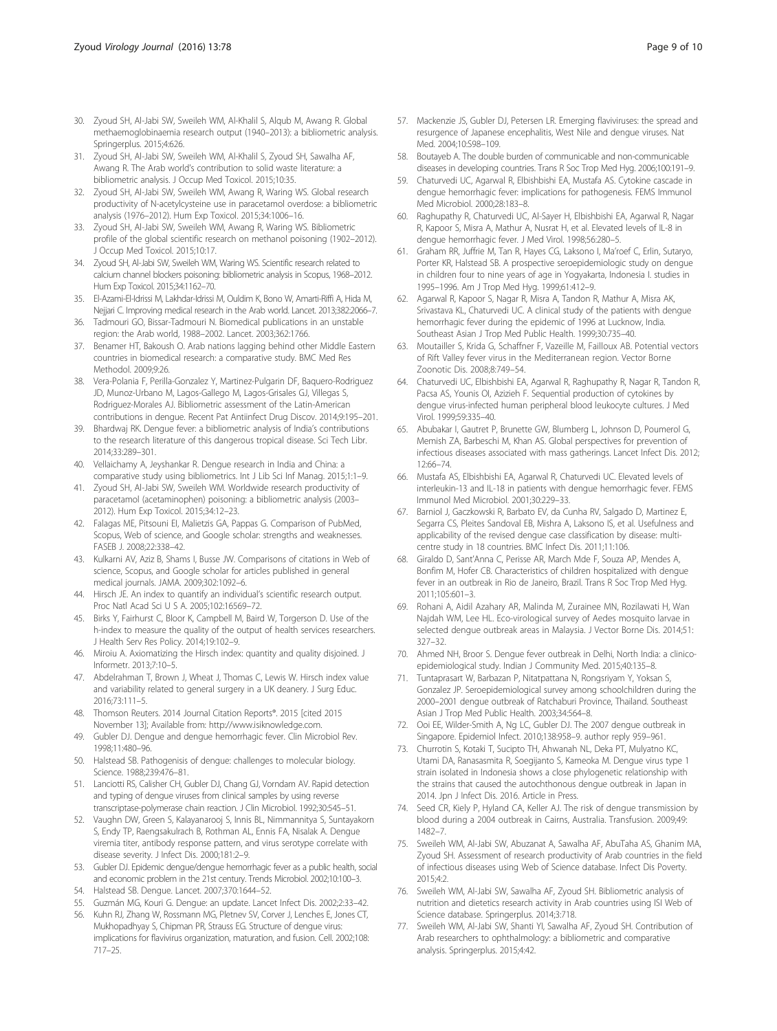- <span id="page-8-0"></span>30. Zyoud SH, Al-Jabi SW, Sweileh WM, Al-Khalil S, Alqub M, Awang R. Global methaemoglobinaemia research output (1940–2013): a bibliometric analysis. Springerplus. 2015;4:626.
- 31. Zyoud SH, Al-Jabi SW, Sweileh WM, Al-Khalil S, Zyoud SH, Sawalha AF, Awang R. The Arab world's contribution to solid waste literature: a bibliometric analysis. J Occup Med Toxicol. 2015;10:35.
- 32. Zyoud SH, Al-Jabi SW, Sweileh WM, Awang R, Waring WS. Global research productivity of N-acetylcysteine use in paracetamol overdose: a bibliometric analysis (1976–2012). Hum Exp Toxicol. 2015;34:1006–16.
- 33. Zyoud SH, Al-Jabi SW, Sweileh WM, Awang R, Waring WS. Bibliometric profile of the global scientific research on methanol poisoning (1902–2012). J Occup Med Toxicol. 2015;10:17.
- 34. Zyoud SH, Al-Jabi SW, Sweileh WM, Waring WS. Scientific research related to calcium channel blockers poisoning: bibliometric analysis in Scopus, 1968–2012. Hum Exp Toxicol. 2015;34:1162–70.
- 35. El-Azami-El-Idrissi M, Lakhdar-Idrissi M, Ouldim K, Bono W, Amarti-Riffi A, Hida M, Nejjari C. Improving medical research in the Arab world. Lancet. 2013:382:2066-7.
- Tadmouri GO, Bissar-Tadmouri N. Biomedical publications in an unstable region: the Arab world, 1988–2002. Lancet. 2003;362:1766.
- 37. Benamer HT, Bakoush O. Arab nations lagging behind other Middle Eastern countries in biomedical research: a comparative study. BMC Med Res Methodol. 2009;9:26.
- 38. Vera-Polania F, Perilla-Gonzalez Y, Martinez-Pulgarin DF, Baquero-Rodriguez JD, Munoz-Urbano M, Lagos-Gallego M, Lagos-Grisales GJ, Villegas S, Rodriguez-Morales AJ. Bibliometric assessment of the Latin-American contributions in dengue. Recent Pat Antiinfect Drug Discov. 2014;9:195–201.
- 39. Bhardwaj RK. Dengue fever: a bibliometric analysis of India's contributions to the research literature of this dangerous tropical disease. Sci Tech Libr. 2014;33:289–301.
- 40. Vellaichamy A, Jeyshankar R. Dengue research in India and China: a comparative study using bibliometrics. Int J Lib Sci Inf Manag. 2015;1:1–9.
- 41. Zyoud SH, Al-Jabi SW, Sweileh WM. Worldwide research productivity of paracetamol (acetaminophen) poisoning: a bibliometric analysis (2003– 2012). Hum Exp Toxicol. 2015;34:12–23.
- 42. Falagas ME, Pitsouni EI, Malietzis GA, Pappas G. Comparison of PubMed, Scopus, Web of science, and Google scholar: strengths and weaknesses. FASEB J. 2008;22:338–42.
- 43. Kulkarni AV, Aziz B, Shams I, Busse JW. Comparisons of citations in Web of science, Scopus, and Google scholar for articles published in general medical journals. JAMA. 2009;302:1092–6.
- 44. Hirsch JE. An index to quantify an individual's scientific research output. Proc Natl Acad Sci U S A. 2005;102:16569–72.
- 45. Birks Y, Fairhurst C, Bloor K, Campbell M, Baird W, Torgerson D. Use of the h-index to measure the quality of the output of health services researchers. J Health Serv Res Policy. 2014;19:102–9.
- 46. Miroiu A. Axiomatizing the Hirsch index: quantity and quality disjoined. J Informetr. 2013;7:10–5.
- 47. Abdelrahman T, Brown J, Wheat J, Thomas C, Lewis W. Hirsch index value and variability related to general surgery in a UK deanery. J Surg Educ. 2016;73:111–5.
- 48. Thomson Reuters. 2014 Journal Citation Reports®. 2015 [cited 2015 November 13]; Available from: [http://www.isiknowledge.com.](http://www.isiknowledge.com/)
- 49. Gubler DJ. Dengue and dengue hemorrhagic fever. Clin Microbiol Rev. 1998;11:480–96.
- 50. Halstead SB. Pathogenisis of dengue: challenges to molecular biology. Science. 1988;239:476–81.
- 51. Lanciotti RS, Calisher CH, Gubler DJ, Chang GJ, Vorndam AV. Rapid detection and typing of dengue viruses from clinical samples by using reverse transcriptase-polymerase chain reaction. J Clin Microbiol. 1992;30:545–51.
- 52. Vaughn DW, Green S, Kalayanarooj S, Innis BL, Nimmannitya S, Suntayakorn S, Endy TP, Raengsakulrach B, Rothman AL, Ennis FA, Nisalak A. Dengue viremia titer, antibody response pattern, and virus serotype correlate with disease severity. J Infect Dis. 2000;181:2–9.
- 53. Gubler DJ. Epidemic dengue/dengue hemorrhagic fever as a public health, social and economic problem in the 21st century. Trends Microbiol. 2002;10:100–3.
- 54. Halstead SB. Dengue. Lancet. 2007;370:1644–52.
- 55. Guzmán MG, Kouri G. Dengue: an update. Lancet Infect Dis. 2002;2:33–42.
- 56. Kuhn RJ, Zhang W, Rossmann MG, Pletnev SV, Corver J, Lenches E, Jones CT, Mukhopadhyay S, Chipman PR, Strauss EG. Structure of dengue virus: implications for flavivirus organization, maturation, and fusion. Cell. 2002;108: 717–25.
- 57. Mackenzie JS, Gubler DJ, Petersen LR. Emerging flaviviruses: the spread and resurgence of Japanese encephalitis, West Nile and dengue viruses. Nat Med. 2004;10:S98–109.
- 58. Boutayeb A. The double burden of communicable and non-communicable diseases in developing countries. Trans R Soc Trop Med Hyg. 2006;100:191–9.
- 59. Chaturvedi UC, Agarwal R, Elbishbishi EA, Mustafa AS. Cytokine cascade in dengue hemorrhagic fever: implications for pathogenesis. FEMS Immunol Med Microbiol. 2000;28:183–8.
- 60. Raghupathy R, Chaturvedi UC, Al-Sayer H, Elbishbishi EA, Agarwal R, Nagar R, Kapoor S, Misra A, Mathur A, Nusrat H, et al. Elevated levels of IL-8 in dengue hemorrhagic fever. J Med Virol. 1998;56:280–5.
- 61. Graham RR, Juffrie M, Tan R, Hayes CG, Laksono I, Ma'roef C, Erlin, Sutaryo, Porter KR, Halstead SB. A prospective seroepidemiologic study on dengue in children four to nine years of age in Yogyakarta, Indonesia I. studies in 1995–1996. Am J Trop Med Hyg. 1999;61:412–9.
- 62. Agarwal R, Kapoor S, Nagar R, Misra A, Tandon R, Mathur A, Misra AK, Srivastava KL, Chaturvedi UC. A clinical study of the patients with dengue hemorrhagic fever during the epidemic of 1996 at Lucknow, India. Southeast Asian J Trop Med Public Health. 1999;30:735–40.
- 63. Moutailler S, Krida G, Schaffner F, Vazeille M, Failloux AB. Potential vectors of Rift Valley fever virus in the Mediterranean region. Vector Borne Zoonotic Dis. 2008;8:749–54.
- 64. Chaturvedi UC, Elbishbishi EA, Agarwal R, Raghupathy R, Nagar R, Tandon R, Pacsa AS, Younis OI, Azizieh F. Sequential production of cytokines by dengue virus-infected human peripheral blood leukocyte cultures. J Med Virol. 1999;59:335–40.
- 65. Abubakar I, Gautret P, Brunette GW, Blumberg L, Johnson D, Poumerol G, Memish ZA, Barbeschi M, Khan AS. Global perspectives for prevention of infectious diseases associated with mass gatherings. Lancet Infect Dis. 2012; 12:66–74.
- 66. Mustafa AS, Elbishbishi EA, Agarwal R, Chaturvedi UC. Elevated levels of interleukin-13 and IL-18 in patients with dengue hemorrhagic fever. FEMS Immunol Med Microbiol. 2001;30:229–33.
- 67. Barniol J, Gaczkowski R, Barbato EV, da Cunha RV, Salgado D, Martinez E, Segarra CS, Pleites Sandoval EB, Mishra A, Laksono IS, et al. Usefulness and applicability of the revised dengue case classification by disease: multicentre study in 18 countries. BMC Infect Dis. 2011;11:106.
- 68. Giraldo D, Sant'Anna C, Perisse AR, March Mde F, Souza AP, Mendes A, Bonfim M, Hofer CB. Characteristics of children hospitalized with dengue fever in an outbreak in Rio de Janeiro, Brazil. Trans R Soc Trop Med Hyg. 2011;105:601–3.
- 69. Rohani A, Aidil Azahary AR, Malinda M, Zurainee MN, Rozilawati H, Wan Najdah WM, Lee HL. Eco-virological survey of Aedes mosquito larvae in selected dengue outbreak areas in Malaysia. J Vector Borne Dis. 2014;51: 327–32.
- 70. Ahmed NH, Broor S. Dengue fever outbreak in Delhi, North India: a clinicoepidemiological study. Indian J Community Med. 2015;40:135–8.
- 71. Tuntaprasart W, Barbazan P, Nitatpattana N, Rongsriyam Y, Yoksan S, Gonzalez JP. Seroepidemiological survey among schoolchildren during the 2000–2001 dengue outbreak of Ratchaburi Province, Thailand. Southeast Asian J Trop Med Public Health. 2003;34:564–8.
- 72. Ooi EE, Wilder-Smith A, Ng LC, Gubler DJ. The 2007 dengue outbreak in Singapore. Epidemiol Infect. 2010;138:958–9. author reply 959–961.
- 73. Churrotin S, Kotaki T, Sucipto TH, Ahwanah NL, Deka PT, Mulyatno KC, Utami DA, Ranasasmita R, Soegijanto S, Kameoka M. Dengue virus type 1 strain isolated in Indonesia shows a close phylogenetic relationship with the strains that caused the autochthonous dengue outbreak in Japan in 2014. Jpn J Infect Dis. 2016. Article in Press.
- 74. Seed CR, Kiely P, Hyland CA, Keller AJ. The risk of dengue transmission by blood during a 2004 outbreak in Cairns, Australia. Transfusion. 2009;49: 1482–7.
- 75. Sweileh WM, Al-Jabi SW, Abuzanat A, Sawalha AF, AbuTaha AS, Ghanim MA, Zyoud SH. Assessment of research productivity of Arab countries in the field of infectious diseases using Web of Science database. Infect Dis Poverty. 2015;4:2.
- 76. Sweileh WM, Al-Jabi SW, Sawalha AF, Zyoud SH. Bibliometric analysis of nutrition and dietetics research activity in Arab countries using ISI Web of Science database. Springerplus. 2014;3:718.
- 77. Sweileh WM, Al-Jabi SW, Shanti YI, Sawalha AF, Zyoud SH. Contribution of Arab researchers to ophthalmology: a bibliometric and comparative analysis. Springerplus. 2015;4:42.